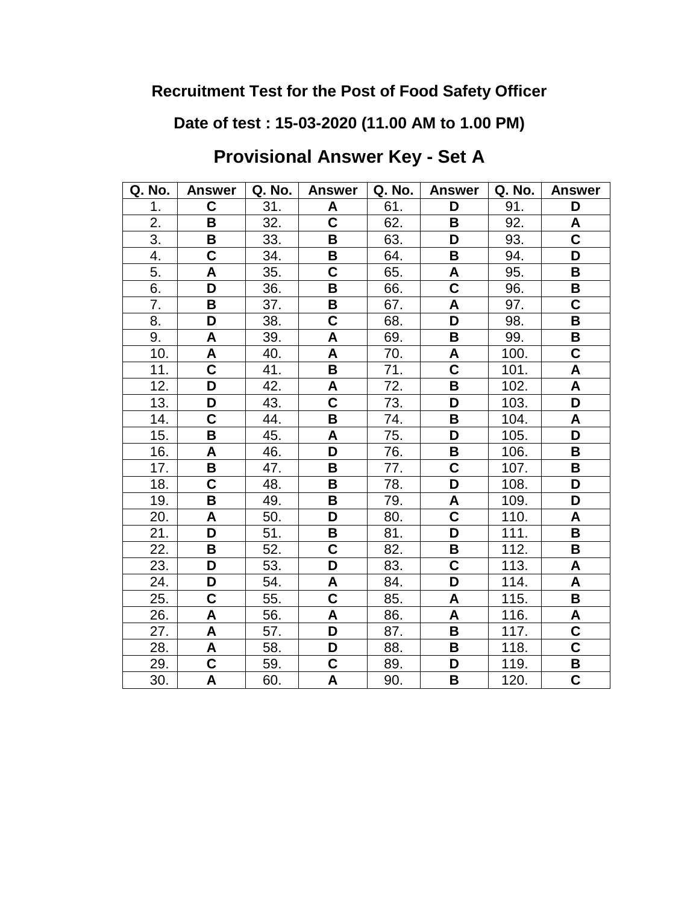**Date of test : 15-03-2020 (11.00 AM to 1.00 PM)**

# **Provisional Answer Key - Set A**

| Q. No.           | <b>Answer</b>           | Q. No. | <b>Answer</b>             | Q. No. | <b>Answer</b>           | Q. No. | <b>Answer</b>             |
|------------------|-------------------------|--------|---------------------------|--------|-------------------------|--------|---------------------------|
| 1.               | C                       | 31.    | A                         | 61.    | D                       | 91.    | D                         |
| 2.               | B                       | 32.    | $\overline{\mathsf{c}}$   | 62.    | B                       | 92.    | A                         |
| $\overline{3}$ . | В                       | 33.    | B                         | 63.    | D                       | 93.    | $\overline{\mathbf{C}}$   |
| 4.               | $\overline{\mathbf{C}}$ | 34.    | В                         | 64.    | B                       | 94.    | D                         |
| 5.               | A                       | 35.    | $\mathbf C$               | 65.    | A                       | 95.    | B                         |
| 6.               | D                       | 36.    | B                         | 66.    | $\overline{\mathsf{c}}$ | 96.    | B                         |
| 7.               | B                       | 37.    | B                         | 67.    | A                       | 97.    | $\overline{\mathsf{C}}$   |
| 8.               | D                       | 38.    | $\mathbf C$               | 68.    | D                       | 98.    | B                         |
| 9.               | A                       | 39.    | A                         | 69.    | B                       | 99.    | B                         |
| 10.              | A                       | 40.    | A                         | 70.    | A                       | 100.   | C                         |
| 11.              | $\overline{\textbf{C}}$ | 41.    | B                         | 71.    | $\overline{\mathbf{c}}$ | 101.   | A                         |
| 12.              | D                       | 42.    | $\boldsymbol{\mathsf{A}}$ | 72.    | $\overline{\mathbf{B}}$ | 102.   | $\overline{\mathsf{A}}$   |
| 13.              | D                       | 43.    | $\mathbf C$               | 73.    | D                       | 103.   | D                         |
| 14.              | $\overline{\mathbf{C}}$ | 44.    | B                         | 74.    | B                       | 104.   | A                         |
| 15.              | В                       | 45.    | A                         | 75.    | D                       | 105.   | D                         |
| 16.              | A                       | 46.    | D                         | 76.    | B                       | 106.   | B                         |
| 17.              | B                       | 47.    | B                         | 77.    | $\overline{\textbf{C}}$ | 107.   | B                         |
| 18.              | C                       | 48.    | B                         | 78.    | $\overline{\mathsf{D}}$ | 108.   | D                         |
| 19.              | В                       | 49.    | B                         | 79.    | A                       | 109.   | D                         |
| 20.              | A                       | 50.    | D                         | 80.    | $\overline{\textbf{c}}$ | 110.   | A                         |
| 21.              | D                       | 51.    | B                         | 81.    | $\overline{\mathsf{D}}$ | 111.   | B                         |
| 22.              | В                       | 52.    | $\mathbf C$               | 82.    | В                       | 112.   | B                         |
| 23.              | D                       | 53.    | D                         | 83.    | $\overline{\textbf{C}}$ | 113.   | $\boldsymbol{\mathsf{A}}$ |
| 24.              | D                       | 54.    | $\boldsymbol{\mathsf{A}}$ | 84.    | D                       | 114.   | $\boldsymbol{\mathsf{A}}$ |
| 25.              | C                       | 55.    | $\mathbf C$               | 85.    | A                       | 115.   | B                         |
| 26.              | A                       | 56.    | A                         | 86.    | A                       | 116.   | A                         |
| 27.              | A                       | 57.    | D                         | 87.    | B                       | 117.   | $\overline{\mathbf{C}}$   |
| 28.              | A                       | 58.    | D                         | 88.    | $\overline{\mathbf{B}}$ | 118.   | $\overline{\mathsf{C}}$   |
| 29.              | $\overline{\textbf{C}}$ | 59.    | C                         | 89.    | D                       | 119.   | В                         |
| 30.              | Α                       | 60.    | Α                         | 90.    | $\overline{\mathbf{B}}$ | 120.   | C                         |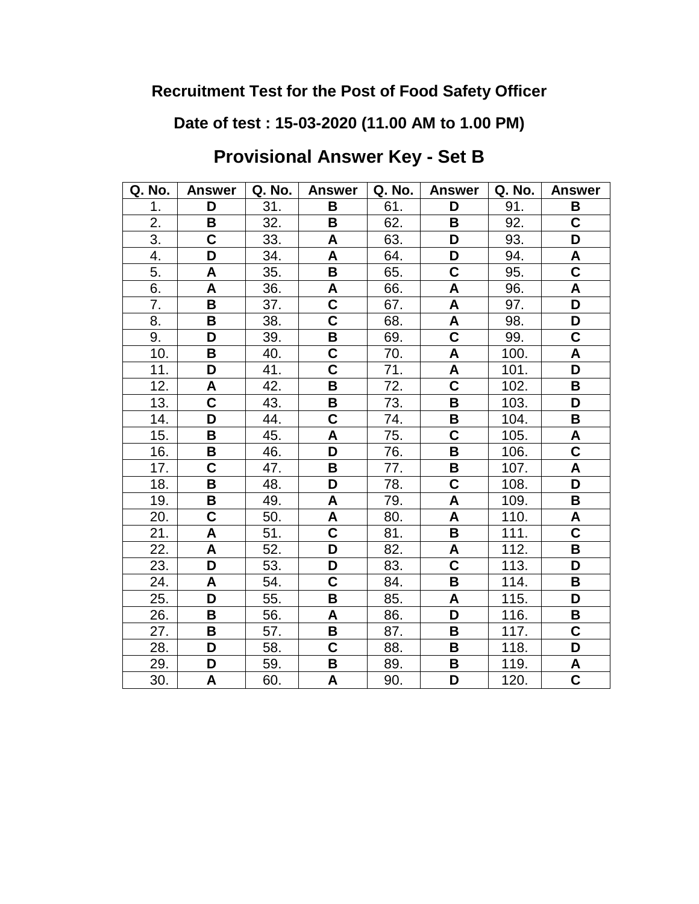**Date of test : 15-03-2020 (11.00 AM to 1.00 PM)**

# **Provisional Answer Key - Set B**

| Q. No. | <b>Answer</b>           | Q. No. | <b>Answer</b>           | Q. No. | <b>Answer</b>           | Q. No. | <b>Answer</b>             |
|--------|-------------------------|--------|-------------------------|--------|-------------------------|--------|---------------------------|
| 1.     | D                       | 31.    | B                       | 61.    | D                       | 91.    | B                         |
| 2.     | B                       | 32.    | B                       | 62.    | B                       | 92.    | $\overline{\mathsf{C}}$   |
| 3.     | $\overline{\textbf{C}}$ | 33.    | A                       | 63.    | D                       | 93.    | D                         |
| 4.     | D                       | 34.    | A                       | 64.    | D                       | 94.    | A                         |
| 5.     | A                       | 35.    | B                       | 65.    | C                       | 95.    | C                         |
| 6.     | A                       | 36.    | A                       | 66.    | A                       | 96.    | $\boldsymbol{\mathsf{A}}$ |
| 7.     | B                       | 37.    | $\overline{\mathsf{c}}$ | 67.    | $\overline{\mathsf{A}}$ | 97.    | $\overline{\mathsf{D}}$   |
| 8.     | B                       | 38.    | $\overline{\mathsf{c}}$ | 68.    | A                       | 98.    | D                         |
| 9.     | D                       | 39.    | B                       | 69.    | $\overline{\mathbf{C}}$ | 99.    | $\overline{\mathbf{C}}$   |
| 10.    | B                       | 40.    | C                       | 70.    | A                       | 100.   | A                         |
| 11.    | D                       | 41.    | $\overline{\mathsf{c}}$ | 71.    | A                       | 101.   | D                         |
| 12.    | A                       | 42.    | B                       | 72.    | $\overline{\textbf{c}}$ | 102.   | B                         |
| 13.    | $\overline{\mathbf{C}}$ | 43.    | B                       | 73.    | B                       | 103.   | D                         |
| 14.    | D                       | 44.    | C                       | 74.    | B                       | 104.   | B                         |
| 15.    | В                       | 45.    | A                       | 75.    | $\overline{\mathsf{C}}$ | 105.   | A                         |
| 16.    | B                       | 46.    | D                       | 76.    | $\overline{\mathbf{B}}$ | 106.   | $\overline{\mathbf{c}}$   |
| 17.    | C                       | 47.    | B                       | 77.    | В                       | 107.   | A                         |
| 18.    | B                       | 48.    | D                       | 78.    | $\overline{\mathsf{c}}$ | 108.   | D                         |
| 19.    | B                       | 49.    | A                       | 79.    | A                       | 109.   | B                         |
| 20.    | C                       | 50.    | A                       | 80.    | A                       | 110.   | A                         |
| 21.    | A                       | 51.    | $\overline{\mathbf{C}}$ | 81.    | B                       | 111.   | $\overline{\mathbf{C}}$   |
| 22.    | A                       | 52.    | D                       | 82.    | A                       | 112.   | В                         |
| 23.    | D                       | 53.    | D                       | 83.    | $\overline{\textbf{C}}$ | 113.   | D                         |
| 24.    | A                       | 54.    | C                       | 84.    | $\overline{\mathbf{B}}$ | 114.   | В                         |
| 25.    | D                       | 55.    | B                       | 85.    | A                       | 115.   | D                         |
| 26.    | В                       | 56.    | A                       | 86.    | D                       | 116.   | В                         |
| 27.    | В                       | 57.    | В                       | 87.    | B                       | 117.   | C                         |
| 28.    | D                       | 58.    | C                       | 88.    | B                       | 118.   | D                         |
| 29.    | D                       | 59.    | В                       | 89.    | B                       | 119.   | A                         |
| 30.    | Α                       | 60.    | A                       | 90.    | D                       | 120.   | $\overline{\mathsf{C}}$   |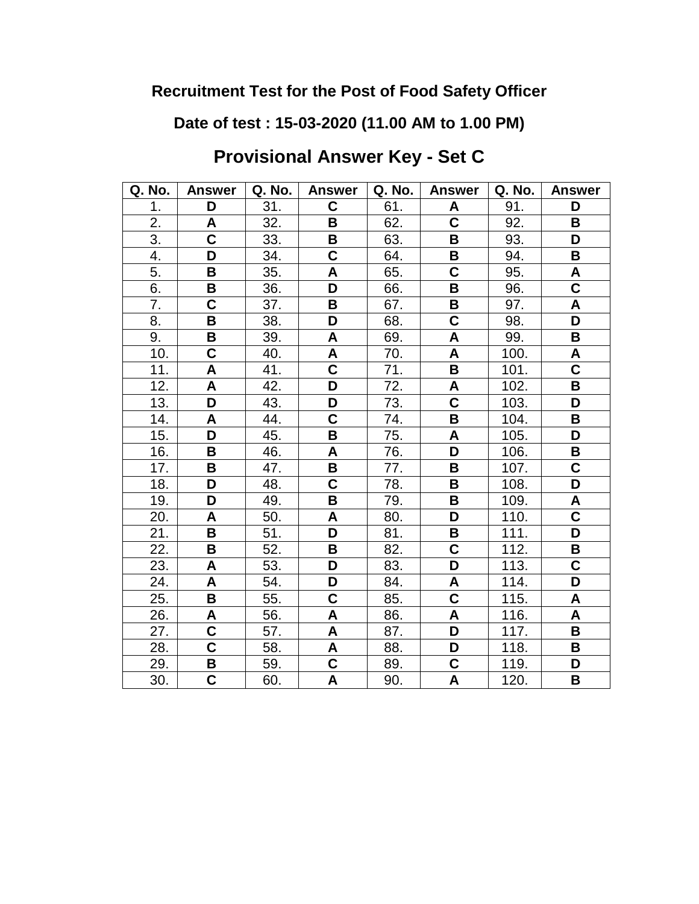**Date of test : 15-03-2020 (11.00 AM to 1.00 PM)**

# **Provisional Answer Key - Set C**

| Q. No.           | <b>Answer</b>           | Q. No. | <b>Answer</b>             | Q. No. | <b>Answer</b>           | Q. No. | <b>Answer</b>             |
|------------------|-------------------------|--------|---------------------------|--------|-------------------------|--------|---------------------------|
| 1.               | D                       | 31.    | C                         | 61.    | A                       | 91.    | D                         |
| 2.               | A                       | 32.    | B                         | 62.    | $\overline{\textbf{C}}$ | 92.    | B                         |
| $\overline{3}$ . | $\overline{\mathbf{C}}$ | 33.    | B                         | 63.    | B                       | 93.    | D                         |
| 4.               | D                       | 34.    | C                         | 64.    | B                       | 94.    | В                         |
| 5.               | B                       | 35.    | A                         | 65.    | $\overline{\mathsf{c}}$ | 95.    | A                         |
| 6.               | B                       | 36.    | D                         | 66.    | B                       | 96.    | $\overline{\mathbf{c}}$   |
| 7.               | $\overline{\mathbf{C}}$ | 37.    | B                         | 67.    | B                       | 97.    | $\boldsymbol{\mathsf{A}}$ |
| 8.               | B                       | 38.    | D                         | 68.    | $\overline{\textbf{C}}$ | 98.    | D                         |
| 9.               | B                       | 39.    | A                         | 69.    | A                       | 99.    | B                         |
| 10.              | $\overline{\mathsf{C}}$ | 40.    | A                         | 70.    | A                       | 100.   | A                         |
| 11.              | A                       | 41.    | $\overline{\mathbf{C}}$   | 71.    | B                       | 101.   | $\overline{\mathsf{c}}$   |
| 12.              | A                       | 42.    | D                         | 72.    | A                       | 102.   | B                         |
| 13.              | D                       | 43.    | D                         | 73.    | $\overline{\textbf{C}}$ | 103.   | D                         |
| 14.              | A                       | 44.    | C                         | 74.    | B                       | 104.   | B                         |
| 15.              | D                       | 45.    | B                         | 75.    | A                       | 105.   | D                         |
| 16.              | В                       | 46.    | A                         | 76.    | D                       | 106.   | В                         |
| 17.              | B                       | 47.    | B                         | 77.    | B                       | 107.   | C                         |
| 18.              | D                       | 48.    | $\mathbf C$               | 78.    | B                       | 108.   | D                         |
| 19.              | D                       | 49.    | B                         | 79.    | B                       | 109.   | A                         |
| 20.              | A                       | 50.    | A                         | 80.    | $\overline{\mathsf{D}}$ | 110.   | $\overline{\textbf{c}}$   |
| 21.              | B                       | 51.    | D                         | 81.    | B                       | 111.   | D                         |
| 22.              | B                       | 52.    | B                         | 82.    | C                       | 112.   | В                         |
| 23.              | A                       | 53.    | D                         | 83.    | $\overline{\mathsf{D}}$ | 113.   | $\overline{\mathsf{C}}$   |
| 24.              | A                       | 54.    | D                         | 84.    | A                       | 114.   | D                         |
| 25.              | B                       | 55.    | C                         | 85.    | $\overline{\textbf{C}}$ | 115.   | A                         |
| 26.              | Α                       | 56.    | A                         | 86.    | A                       | 116.   | A                         |
| 27.              | C                       | 57.    | A                         | 87.    | D                       | 117.   | B                         |
| 28.              | $\overline{\textbf{C}}$ | 58.    | $\boldsymbol{\mathsf{A}}$ | 88.    | D                       | 118.   | В                         |
| 29.              | B                       | 59.    | $\overline{c}$            | 89.    | $\overline{\mathbf{C}}$ | 119.   | D                         |
| 30.              | $\overline{\mathsf{C}}$ | 60.    | A                         | 90.    | $\overline{\mathsf{A}}$ | 120.   | B                         |